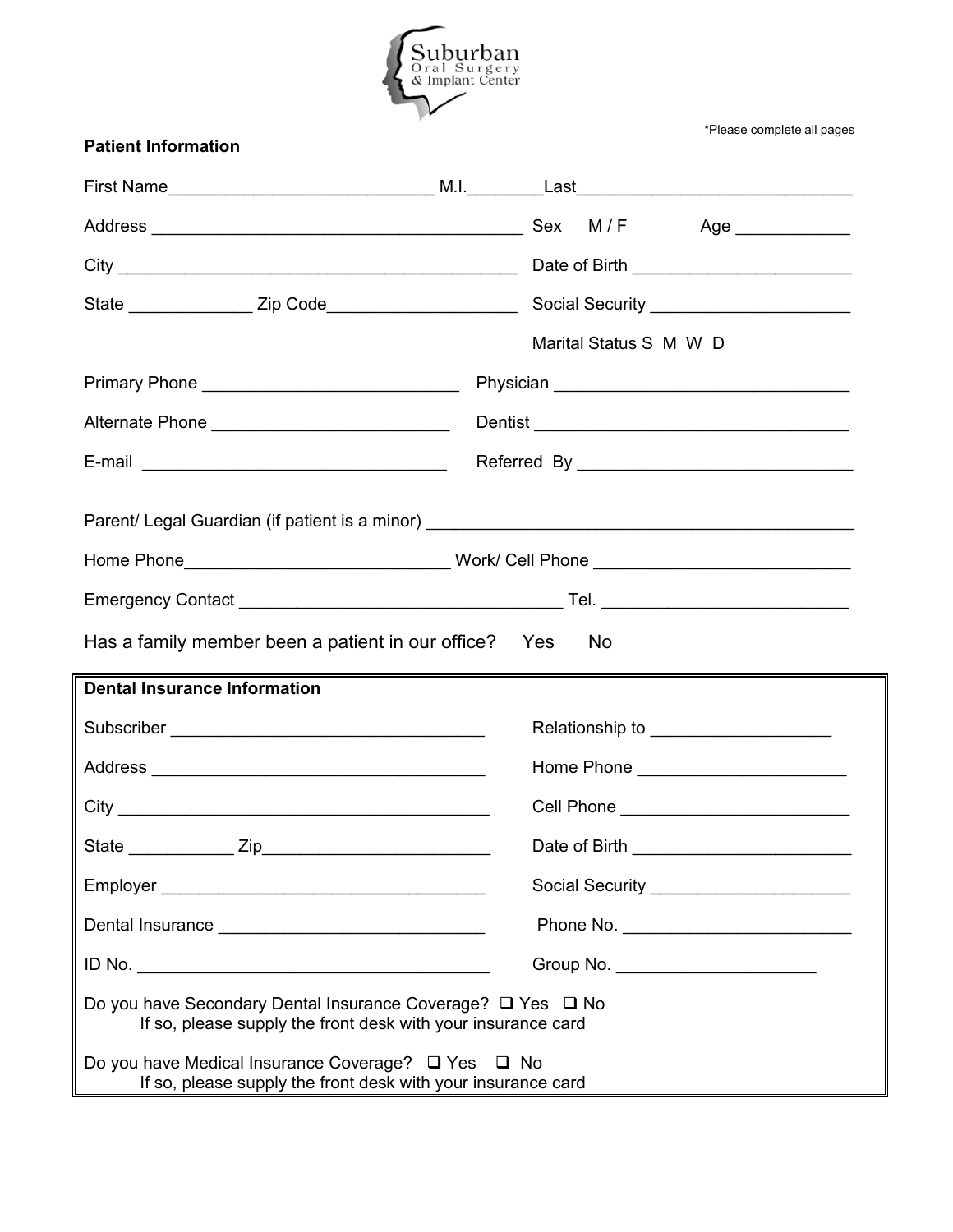

\*Please complete all pages

| <b>Patient Information</b>                                                                                                                                                                                                                        |  |  |                        |                                          |  |  |  |  |
|---------------------------------------------------------------------------------------------------------------------------------------------------------------------------------------------------------------------------------------------------|--|--|------------------------|------------------------------------------|--|--|--|--|
|                                                                                                                                                                                                                                                   |  |  |                        |                                          |  |  |  |  |
|                                                                                                                                                                                                                                                   |  |  |                        | Age _____________                        |  |  |  |  |
|                                                                                                                                                                                                                                                   |  |  |                        |                                          |  |  |  |  |
|                                                                                                                                                                                                                                                   |  |  |                        |                                          |  |  |  |  |
|                                                                                                                                                                                                                                                   |  |  | Marital Status S M W D |                                          |  |  |  |  |
|                                                                                                                                                                                                                                                   |  |  |                        |                                          |  |  |  |  |
| Alternate Phone ______________________________                                                                                                                                                                                                    |  |  |                        |                                          |  |  |  |  |
|                                                                                                                                                                                                                                                   |  |  |                        |                                          |  |  |  |  |
| Parent/ Legal Guardian (if patient is a minor) __________________________________                                                                                                                                                                 |  |  |                        |                                          |  |  |  |  |
|                                                                                                                                                                                                                                                   |  |  |                        |                                          |  |  |  |  |
| Has a family member been a patient in our office? Yes<br>No.                                                                                                                                                                                      |  |  |                        |                                          |  |  |  |  |
| <b>Dental Insurance Information</b>                                                                                                                                                                                                               |  |  |                        |                                          |  |  |  |  |
|                                                                                                                                                                                                                                                   |  |  |                        | Relationship to ________________________ |  |  |  |  |
|                                                                                                                                                                                                                                                   |  |  |                        |                                          |  |  |  |  |
|                                                                                                                                                                                                                                                   |  |  |                        | Cell Phone _____________________________ |  |  |  |  |
|                                                                                                                                                                                                                                                   |  |  |                        |                                          |  |  |  |  |
|                                                                                                                                                                                                                                                   |  |  |                        | Social Security _______________________  |  |  |  |  |
|                                                                                                                                                                                                                                                   |  |  |                        |                                          |  |  |  |  |
|                                                                                                                                                                                                                                                   |  |  |                        | Group No. _______________________        |  |  |  |  |
| Do you have Secondary Dental Insurance Coverage? □ Yes □ No<br>If so, please supply the front desk with your insurance card<br>Do you have Medical Insurance Coverage? □ Yes □ No<br>If so, please supply the front desk with your insurance card |  |  |                        |                                          |  |  |  |  |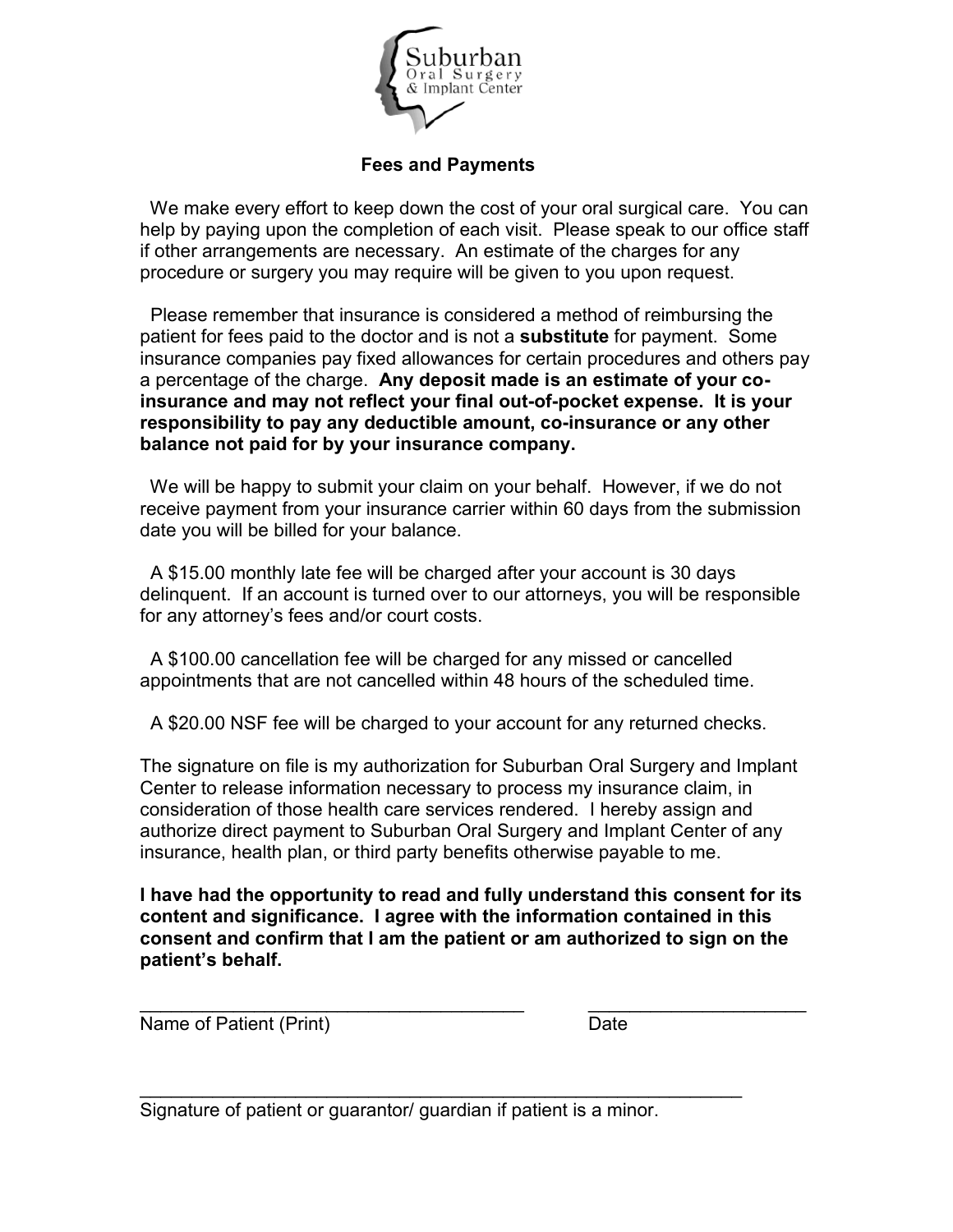

## **Fees and Payments**

We make every effort to keep down the cost of your oral surgical care. You can help by paying upon the completion of each visit. Please speak to our office staff if other arrangements are necessary. An estimate of the charges for any procedure or surgery you may require will be given to you upon request.

Please remember that insurance is considered a method of reimbursing the patient for fees paid to the doctor and is not a **substitute** for payment. Some insurance companies pay fixed allowances for certain procedures and others pay a percentage of the charge. **Any deposit made is an estimate of your coinsurance and may not reflect your final out-of-pocket expense. It is your responsibility to pay any deductible amount, co-insurance or any other balance not paid for by your insurance company.** 

We will be happy to submit your claim on your behalf. However, if we do not receive payment from your insurance carrier within 60 days from the submission date you will be billed for your balance.

A \$15.00 monthly late fee will be charged after your account is 30 days delinquent. If an account is turned over to our attorneys, you will be responsible for any attorney's fees and/or court costs.

A \$100.00 cancellation fee will be charged for any missed or cancelled appointments that are not cancelled within 48 hours of the scheduled time.

A \$20.00 NSF fee will be charged to your account for any returned checks.

The signature on file is my authorization for Suburban Oral Surgery and Implant Center to release information necessary to process my insurance claim, in consideration of those health care services rendered. I hereby assign and authorize direct payment to Suburban Oral Surgery and Implant Center of any insurance, health plan, or third party benefits otherwise payable to me.

**I have had the opportunity to read and fully understand this consent for its content and significance. I agree with the information contained in this consent and confirm that I am the patient or am authorized to sign on the patient's behalf.**

\_\_\_\_\_\_\_\_\_\_\_\_\_\_\_\_\_\_\_\_\_\_\_\_\_\_\_\_\_\_\_\_\_\_\_\_\_ \_\_\_\_\_\_\_\_\_\_\_\_\_\_\_\_\_\_\_\_\_

 $\mathcal{L}_\text{max} = \mathcal{L}_\text{max} = \mathcal{L}_\text{max} = \mathcal{L}_\text{max} = \mathcal{L}_\text{max} = \mathcal{L}_\text{max} = \mathcal{L}_\text{max} = \mathcal{L}_\text{max} = \mathcal{L}_\text{max} = \mathcal{L}_\text{max} = \mathcal{L}_\text{max} = \mathcal{L}_\text{max} = \mathcal{L}_\text{max} = \mathcal{L}_\text{max} = \mathcal{L}_\text{max} = \mathcal{L}_\text{max} = \mathcal{L}_\text{max} = \mathcal{L}_\text{max} = \mathcal{$ 

Name of Patient (Print) Date

Signature of patient or guarantor/ guardian if patient is a minor.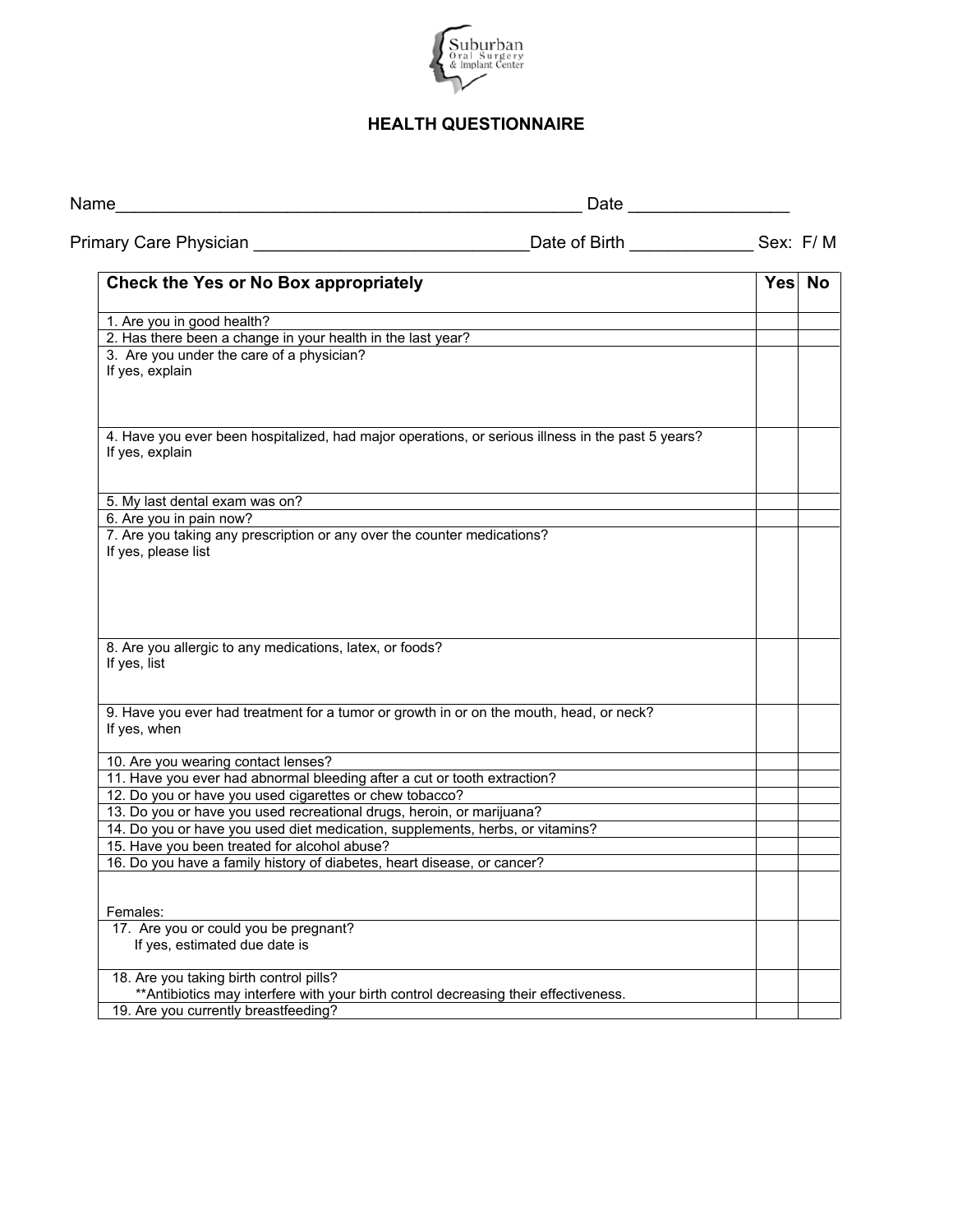

## **HEALTH QUESTIONNAIRE**

| Primary Care Physician <b>Exercise Service Service Contract Control</b>                                                         |  |        |
|---------------------------------------------------------------------------------------------------------------------------------|--|--------|
|                                                                                                                                 |  |        |
| Check the Yes or No Box appropriately                                                                                           |  | Yes No |
| 1. Are you in good health?                                                                                                      |  |        |
| 2. Has there been a change in your health in the last year?                                                                     |  |        |
| 3. Are you under the care of a physician?<br>If yes, explain                                                                    |  |        |
| 4. Have you ever been hospitalized, had major operations, or serious illness in the past 5 years?<br>If yes, explain            |  |        |
| 5. My last dental exam was on?                                                                                                  |  |        |
| 6. Are you in pain now?                                                                                                         |  |        |
| 7. Are you taking any prescription or any over the counter medications?<br>If yes, please list                                  |  |        |
| 8. Are you allergic to any medications, latex, or foods?<br>If yes, list                                                        |  |        |
| 9. Have you ever had treatment for a tumor or growth in or on the mouth, head, or neck?<br>If yes, when                         |  |        |
| 10. Are you wearing contact lenses?                                                                                             |  |        |
| 11. Have you ever had abnormal bleeding after a cut or tooth extraction?                                                        |  |        |
| 12. Do you or have you used cigarettes or chew tobacco?                                                                         |  |        |
| 13. Do you or have you used recreational drugs, heroin, or marijuana?                                                           |  |        |
| 14. Do you or have you used diet medication, supplements, herbs, or vitamins?                                                   |  |        |
| 15. Have you been treated for alcohol abuse?                                                                                    |  |        |
| 16. Do you have a family history of diabetes, heart disease, or cancer?                                                         |  |        |
| Females:                                                                                                                        |  |        |
| 17. Are you or could you be pregnant?<br>If yes, estimated due date is                                                          |  |        |
| 18. Are you taking birth control pills?<br>** Antibiotics may interfere with your birth control decreasing their effectiveness. |  |        |
| 19. Are you currently breastfeeding?                                                                                            |  |        |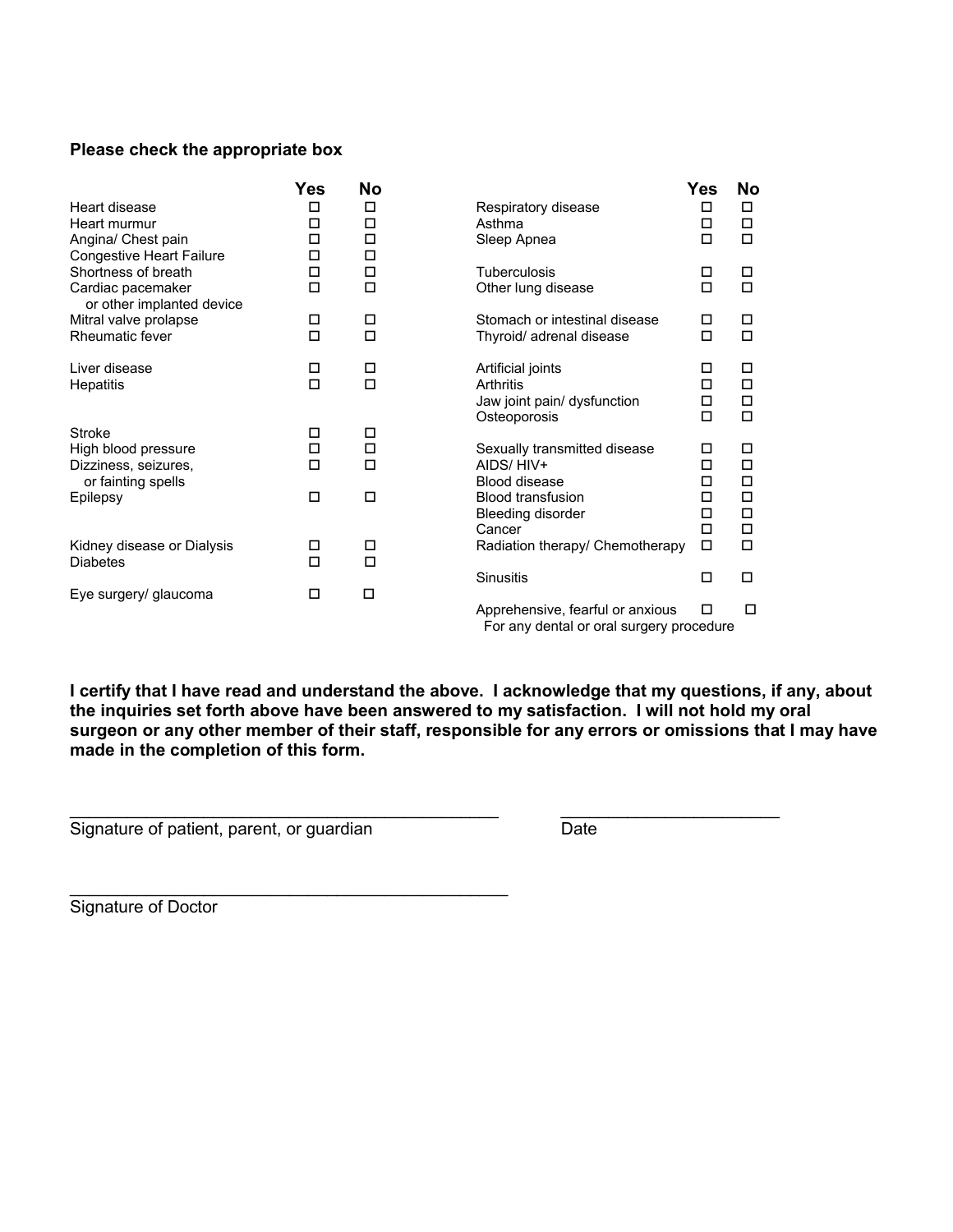### **Please check the appropriate box**

|                                                        | Yes         | No          |                                  | Yes    | <b>No</b> |
|--------------------------------------------------------|-------------|-------------|----------------------------------|--------|-----------|
| Heart disease                                          | □           | □           | Respiratory disease              | □      | □         |
| Heart murmur                                           | □           | □           | Asthma                           | □      | П         |
| Angina/ Chest pain                                     | □           | □           | Sleep Apnea                      | □      | п         |
| <b>Congestive Heart Failure</b><br>Shortness of breath | □<br>□      | □<br>□      | Tuberculosis                     | □      | □         |
| Cardiac pacemaker                                      | □           | $\Box$      | Other lung disease               | □      | п         |
| or other implanted device                              |             |             |                                  |        |           |
| Mitral valve prolapse                                  | □           | □           | Stomach or intestinal disease    | □      | □         |
| Rheumatic fever                                        | $\Box$      | $\Box$      | Thyroid/ adrenal disease         | □      | $\Box$    |
|                                                        |             |             |                                  |        |           |
| Liver disease                                          | □<br>$\Box$ | □<br>$\Box$ | Artificial joints<br>Arthritis   | □      | □<br>п    |
| <b>Hepatitis</b>                                       |             |             | Jaw joint pain/ dysfunction      | □<br>□ | □         |
|                                                        |             |             | Osteoporosis                     | □      | $\Box$    |
| Stroke                                                 | □           | □           |                                  |        |           |
| High blood pressure                                    | □           | $\Box$      | Sexually transmitted disease     | □      | □         |
| Dizziness, seizures,                                   | □           | $\Box$      | AIDS/HIV+                        | П      | □         |
| or fainting spells                                     |             |             | <b>Blood disease</b>             | □      | □         |
| Epilepsy                                               | □           | □           | <b>Blood transfusion</b>         | П<br>□ | П<br>□    |
|                                                        |             |             | Bleeding disorder<br>Cancer      | П      | $\Box$    |
| Kidney disease or Dialysis                             | □           | □           | Radiation therapy/ Chemotherapy  | П      | $\Box$    |
| <b>Diabetes</b>                                        | $\Box$      | $\Box$      |                                  |        |           |
|                                                        |             |             | <b>Sinusitis</b>                 | □      | □         |
| Eye surgery/ glaucoma                                  | □           | □           |                                  |        |           |
|                                                        |             |             | Apprehensive, fearful or anxious | □      | □         |

For any dental or oral surgery procedure

**I certify that I have read and understand the above. I acknowledge that my questions, if any, about the inquiries set forth above have been answered to my satisfaction. I will not hold my oral surgeon or any other member of their staff, responsible for any errors or omissions that I may have made in the completion of this form.**

\_\_\_\_\_\_\_\_\_\_\_\_\_\_\_\_\_\_\_\_\_\_\_\_\_\_\_\_\_\_\_\_\_\_\_\_\_\_\_\_\_\_\_\_\_ \_\_\_\_\_\_\_\_\_\_\_\_\_\_\_\_\_\_\_\_\_\_\_

Signature of patient, parent, or guardian Date

\_\_\_\_\_\_\_\_\_\_\_\_\_\_\_\_\_\_\_\_\_\_\_\_\_\_\_\_\_\_\_\_\_\_\_\_\_\_\_\_\_\_\_\_\_\_

Signature of Doctor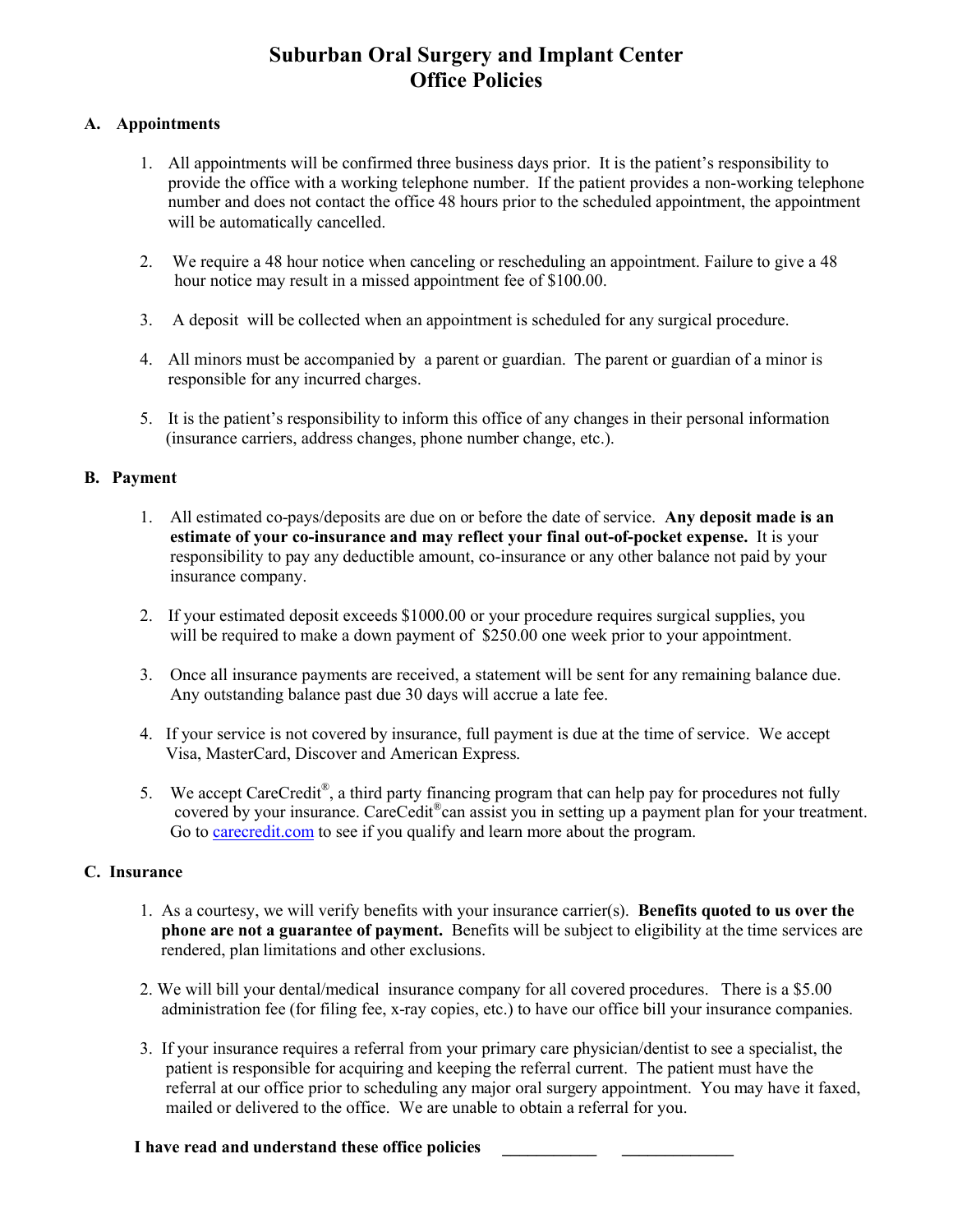# **Suburban Oral Surgery and Implant Center Office Policies**

### **A. Appointments**

- 1. All appointments will be confirmed three business days prior. It is the patient's responsibility to provide the office with a working telephone number. If the patient provides a non-working telephone number and does not contact the office 48 hours prior to the scheduled appointment, the appointment will be automatically cancelled.
- 2. We require a 48 hour notice when canceling or rescheduling an appointment. Failure to give a 48 hour notice may result in a missed appointment fee of \$100.00.
- 3. A deposit will be collected when an appointment is scheduled for any surgical procedure.
- 4. All minors must be accompanied by a parent or guardian. The parent or guardian of a minor is responsible for any incurred charges.
- 5. It is the patient's responsibility to inform this office of any changes in their personal information (insurance carriers, address changes, phone number change, etc.).

### **B. Payment**

- 1. All estimated co-pays/deposits are due on or before the date of service. **Any deposit made is an estimate of your co-insurance and may reflect your final out-of-pocket expense.** It is your responsibility to pay any deductible amount, co-insurance or any other balance not paid by your insurance company.
- 2. If your estimated deposit exceeds \$1000.00 or your procedure requires surgical supplies, you will be required to make a down payment of \$250.00 one week prior to your appointment.
- 3. Once all insurance payments are received, a statement will be sent for any remaining balance due. Any outstanding balance past due 30 days will accrue a late fee.
- 4. If your service is not covered by insurance, full payment is due at the time of service. We accept Visa, MasterCard, Discover and American Express.
- 5. We accept CareCredit<sup>®</sup>, a third party financing program that can help pay for procedures not fully covered by your insurance. CareCedit<sup>®</sup>can assist you in setting up a payment plan for your treatment. Go t[o carecredit.com](http://carecredit.com/) to see if you qualify and learn more about the program.

### **C. Insurance**

- 1. As a courtesy, we will verify benefits with your insurance carrier(s). **Benefits quoted to us over the phone are not a guarantee of payment.** Benefits will be subject to eligibility at the time services are rendered, plan limitations and other exclusions.
- 2. We will bill your dental/medical insurance company for all covered procedures. There is a \$5.00 administration fee (for filing fee, x-ray copies, etc.) to have our office bill your insurance companies.
- 3. If your insurance requires a referral from your primary care physician/dentist to see a specialist, the patient is responsible for acquiring and keeping the referral current. The patient must have the referral at our office prior to scheduling any major oral surgery appointment. You may have it faxed, mailed or delivered to the office. We are unable to obtain a referral for you.

### **I have read and understand these office policies \_\_\_\_\_\_\_\_\_\_\_ \_\_\_\_\_\_\_\_\_\_\_\_\_**